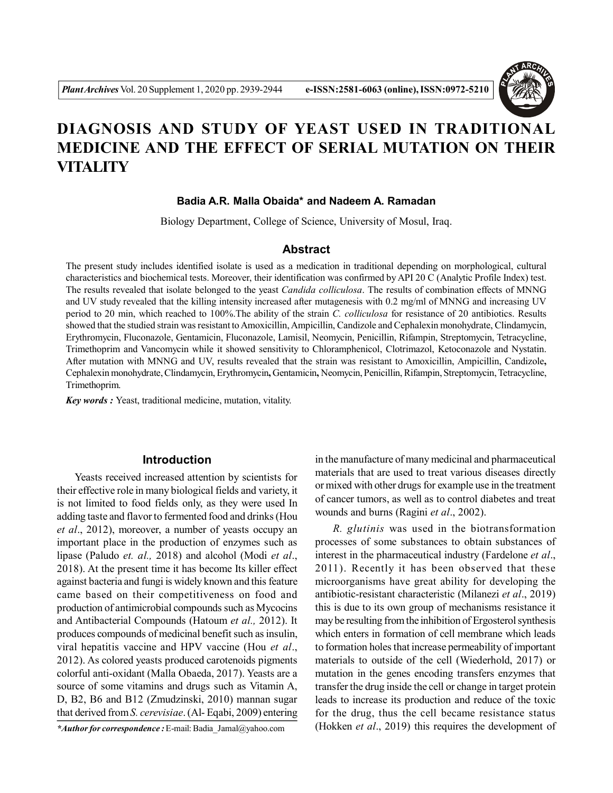

# **DIAGNOSIS AND STUDY OF YEAST USED IN TRADITIONAL MEDICINE AND THE EFFECT OF SERIAL MUTATION ON THEIR VITALITY**

## **Badia A.R. Malla Obaida\* and Nadeem A. Ramadan**

Biology Department, College of Science, University of Mosul, Iraq.

# **Abstract**

The present study includes identified isolate is used as a medication in traditional depending on morphological, cultural characteristics and biochemical tests. Moreover, their identification was confirmed by API 20 C (Analytic Profile Index) test. The results revealed that isolate belonged to the yeast *Candida colliculosa*. The results of combination effects of MNNG and UV study revealed that the killing intensity increased after mutagenesis with 0.2 mg/ml of MNNG and increasing UV period to 20 min, which reached to 100%.The ability of the strain *C. colliculosa* for resistance of 20 antibiotics. Results showed that the studied strain was resistant to Amoxicillin, Ampicillin, Candizole and Cephalexin monohydrate, Clindamycin, Erythromycin, Fluconazole, Gentamicin, Fluconazole, Lamisil, Neomycin, Penicillin, Rifampin, Streptomycin, Tetracycline, Trimethoprim and Vancomycin while it showed sensitivity to Chloramphenicol, Clotrimazol, Ketoconazole and Nystatin. After mutation with MNNG and UV, results revealed that the strain was resistant to Amoxicillin, Ampicillin, Candizole**,** Cephalexin monohydrate, Clindamycin, Erythromycin**,** Gentamicin**,** Neomycin, Penicillin, Rifampin, Streptomycin, Tetracycline, Trimethoprim.

*Key words :* Yeast, traditional medicine, mutation, vitality.

# **Introduction**

Yeasts received increased attention by scientists for their effective role in many biological fields and variety, it is not limited to food fields only, as they were used In adding taste and flavor to fermented food and drinks (Hou *et al*., 2012), moreover, a number of yeasts occupy an important place in the production of enzymes such as lipase (Paludo *et. al.,* 2018) and alcohol (Modi *et al*., 2018). At the present time it has become Its killer effect against bacteria and fungi is widely known and this feature came based on their competitiveness on food and production of antimicrobial compounds such as Mycocins and Antibacterial Compounds (Hatoum *et al.,* 2012). It produces compounds of medicinal benefit such as insulin, viral hepatitis vaccine and HPV vaccine (Hou *et al*., 2012). As colored yeasts produced carotenoids pigments colorful anti-oxidant (Malla Obaeda, 2017). Yeasts are a source of some vitamins and drugs such as Vitamin A, D, B2, B6 and B12 (Zmudzinski, 2010) mannan sugar that derived from *S. cerevisiae*. (Al- Eqabi, 2009) entering

*\*Author for correspondence :* E-mail: Badia\_Jamal@yahoo.com

in the manufacture of many medicinal and pharmaceutical materials that are used to treat various diseases directly or mixed with other drugs for example use in the treatment of cancer tumors, as well as to control diabetes and treat wounds and burns (Ragini *et al*., 2002).

*R. glutinis* was used in the biotransformation processes of some substances to obtain substances of interest in the pharmaceutical industry (Fardelone *et al*., 2011). Recently it has been observed that these microorganisms have great ability for developing the antibiotic-resistant characteristic (Milanezi *et al*., 2019) this is due to its own group of mechanisms resistance it may be resulting from the inhibition of Ergosterol synthesis which enters in formation of cell membrane which leads to formation holes that increase permeability of important materials to outside of the cell (Wiederhold, 2017) or mutation in the genes encoding transfers enzymes that transfer the drug inside the cell or change in target protein leads to increase its production and reduce of the toxic for the drug, thus the cell became resistance status (Hokken *et al*., 2019) this requires the development of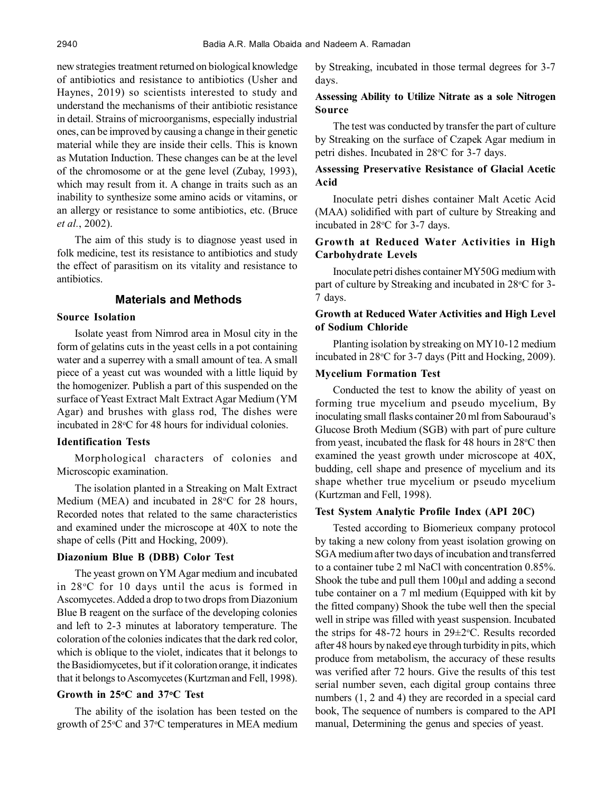new strategies treatment returned on biological knowledge of antibiotics and resistance to antibiotics (Usher and Haynes, 2019) so scientists interested to study and understand the mechanisms of their antibiotic resistance in detail. Strains of microorganisms, especially industrial ones, can be improved by causing a change in their genetic material while they are inside their cells. This is known as Mutation Induction. These changes can be at the level of the chromosome or at the gene level (Zubay, 1993), which may result from it. A change in traits such as an inability to synthesize some amino acids or vitamins, or an allergy or resistance to some antibiotics, etc. (Bruce *et al.*, 2002).

The aim of this study is to diagnose yeast used in folk medicine, test its resistance to antibiotics and study the effect of parasitism on its vitality and resistance to antibiotics.

# **Materials and Methods**

#### **Source Isolation**

Isolate yeast from Nimrod area in Mosul city in the form of gelatins cuts in the yeast cells in a pot containing water and a superrey with a small amount of tea. A small piece of a yeast cut was wounded with a little liquid by the homogenizer. Publish a part of this suspended on the surface of Yeast Extract Malt Extract Agar Medium (YM Agar) and brushes with glass rod, The dishes were incubated in 28<sup>o</sup>C for 48 hours for individual colonies.

## **Identification Tests**

Morphological characters of colonies and Microscopic examination.

The isolation planted in a Streaking on Malt Extract Medium (MEA) and incubated in  $28^{\circ}$ C for 28 hours, Recorded notes that related to the same characteristics and examined under the microscope at 40X to note the shape of cells (Pitt and Hocking, 2009).

#### **Diazonium Blue B (DBB) Color Test**

The yeast grown on YM Agar medium and incubated in 28°C for 10 days until the acus is formed in Ascomycetes. Added a drop to two drops from Diazonium Blue B reagent on the surface of the developing colonies and left to 2-3 minutes at laboratory temperature. The coloration of the colonies indicates that the dark red color, which is oblique to the violet, indicates that it belongs to the Basidiomycetes, but if it coloration orange, it indicates that it belongs to Ascomycetes (Kurtzman and Fell, 1998).

# **Growth in 25C and 37C Test**

The ability of the isolation has been tested on the growth of  $25^{\circ}$ C and  $37^{\circ}$ C temperatures in MEA medium by Streaking, incubated in those termal degrees for 3-7 days.

## **Assessing Ability to Utilize Nitrate as a sole Nitrogen Source**

The test was conducted by transfer the part of culture by Streaking on the surface of Czapek Agar medium in petri dishes. Incubated in 28<sup>o</sup>C for 3-7 days.

## **Assessing Preservative Resistance of Glacial Acetic Acid**

Inoculate petri dishes container Malt Acetic Acid (MAA) solidified with part of culture by Streaking and incubated in 28°C for 3-7 days.

# **Growth at Reduced Water Activities in High Carbohydrate Levels**

Inoculate petri dishes container MY50G medium with part of culture by Streaking and incubated in 28°C for 3-7 days.

# **Growth at Reduced Water Activities and High Level of Sodium Chloride**

Planting isolation by streaking on MY10-12 medium incubated in 28°C for 3-7 days (Pitt and Hocking, 2009).

## **Mycelium Formation Test**

Conducted the test to know the ability of yeast on forming true mycelium and pseudo mycelium, By inoculating small flasks container 20 ml from Sabouraud's Glucose Broth Medium (SGB) with part of pure culture from yeast, incubated the flask for 48 hours in  $28^{\circ}$ C then examined the yeast growth under microscope at 40X, budding, cell shape and presence of mycelium and its shape whether true mycelium or pseudo mycelium (Kurtzman and Fell, 1998).

## **Test System Analytic Profile Index (API 20C)**

Tested according to Biomerieux company protocol by taking a new colony from yeast isolation growing on SGA medium after two days of incubation and transferred to a container tube 2 ml NaCl with concentration 0.85%. Shook the tube and pull them 100 ul and adding a second tube container on a 7 ml medium (Equipped with kit by the fitted company) Shook the tube well then the special well in stripe was filled with yeast suspension. Incubated the strips for 48-72 hours in  $29 \pm 2$ °C. Results recorded after 48 hours by naked eye through turbidity in pits, which produce from metabolism, the accuracy of these results was verified after 72 hours. Give the results of this test serial number seven, each digital group contains three numbers (1, 2 and 4) they are recorded in a special card book, The sequence of numbers is compared to the API manual, Determining the genus and species of yeast.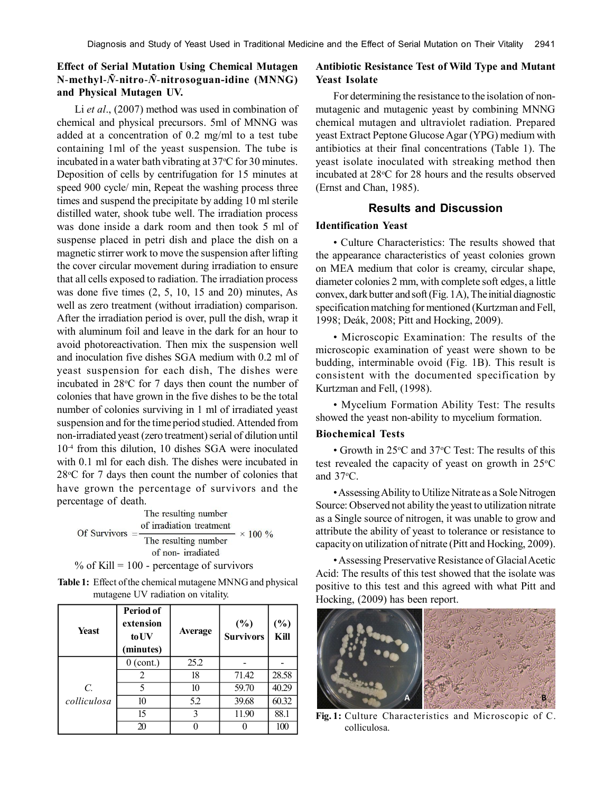# **Effect of Serial Mutation Using Chemical Mutagen N**-**methyl**-*Ñ*-**nitro**-*Ñ*-**nitrosoguan-idine (MNNG) and Physical Mutagen UV.**

Li *et al*., (2007) method was used in combination of chemical and physical precursors. 5ml of MNNG was added at a concentration of 0.2 mg/ml to a test tube containing 1ml of the yeast suspension. The tube is incubated in a water bath vibrating at  $37^{\circ}$ C for 30 minutes. Deposition of cells by centrifugation for 15 minutes at speed 900 cycle/ min, Repeat the washing process three times and suspend the precipitate by adding 10 ml sterile distilled water, shook tube well. The irradiation process was done inside a dark room and then took 5 ml of suspense placed in petri dish and place the dish on a magnetic stirrer work to move the suspension after lifting the cover circular movement during irradiation to ensure that all cells exposed to radiation. The irradiation process was done five times (2, 5, 10, 15 and 20) minutes, As well as zero treatment (without irradiation) comparison. After the irradiation period is over, pull the dish, wrap it with aluminum foil and leave in the dark for an hour to avoid photoreactivation. Then mix the suspension well and inoculation five dishes SGA medium with 0.2 ml of yeast suspension for each dish, The dishes were incubated in  $28^{\circ}$ C for 7 days then count the number of colonies that have grown in the five dishes to be the total number of colonies surviving in 1 ml of irradiated yeast suspension and for the time period studied. Attended from non-irradiated yeast (zero treatment) serial of dilution until 10-4 from this dilution, 10 dishes SGA were inoculated with 0.1 ml for each dish. The dishes were incubated in  $28^{\circ}$ C for 7 days then count the number of colonies that have grown the percentage of survivors and the percentage of death.

The resulting number of irradiation treatment Of Survivors  $=$  $\times$  100 % The resulting number of non-irradiated

% of Kill =  $100$  - percentage of survivors

| <b>Table 1:</b> Effect of the chemical mutagene MNNG and physical |
|-------------------------------------------------------------------|
| mutagene UV radiation on vitality.                                |

| Yeast           | Period of<br>extension<br>to UV<br>(minutes) | <b>Average</b> | (%)<br><b>Survivors</b> | (%)<br>Kill |
|-----------------|----------------------------------------------|----------------|-------------------------|-------------|
|                 | $0$ (cont.)                                  | 25.2           |                         |             |
|                 | $\overline{\mathcal{L}}$                     | 18             | 71.42                   | 28.58       |
| $\mathcal{C}$ . | 5                                            | 10             | 59.70                   | 40.29       |
| colliculosa     | 10                                           | 5.2            | 39.68                   | 60.32       |
|                 | 15                                           | 3              | 11.90                   | 88.1        |
|                 | 20                                           |                |                         | 100         |

# **Antibiotic Resistance Test of Wild Type and Mutant Yeast Isolate**

For determining the resistance to the isolation of nonmutagenic and mutagenic yeast by combining MNNG chemical mutagen and ultraviolet radiation. Prepared yeast Extract Peptone Glucose Agar (YPG) medium with antibiotics at their final concentrations (Table 1). The yeast isolate inoculated with streaking method then incubated at 28 °C for 28 hours and the results observed (Ernst and Chan, 1985).

# **Results and Discussion**

## **Identification Yeast**

• Culture Characteristics: The results showed that the appearance characteristics of yeast colonies grown on MEA medium that color is creamy, circular shape, diameter colonies 2 mm, with complete soft edges, a little convex, dark butter and soft (Fig. 1A), The initial diagnostic specification matching for mentioned (Kurtzman and Fell, 1998; Deák, 2008; Pitt and Hocking, 2009).

• Microscopic Examination: The results of the microscopic examination of yeast were shown to be budding, interminable ovoid (Fig. 1B). This result is consistent with the documented specification by Kurtzman and Fell, (1998).

• Mycelium Formation Ability Test: The results showed the yeast non-ability to mycelium formation.

# **Biochemical Tests**

• Growth in  $25^{\circ}$ C and  $37^{\circ}$ C Test: The results of this test revealed the capacity of yeast on growth in  $25^{\circ}$ C and  $37^{\circ}$ C.

• Assessing Ability to Utilize Nitrate as a Sole Nitrogen Source: Observed not ability the yeast to utilization nitrate as a Single source of nitrogen, it was unable to grow and attribute the ability of yeast to tolerance or resistance to capacity on utilization of nitrate (Pitt and Hocking, 2009).

• Assessing Preservative Resistance of Glacial Acetic Acid: The results of this test showed that the isolate was positive to this test and this agreed with what Pitt and Hocking, (2009) has been report.



**Fig. 1:** Culture Characteristics and Microscopic of C. colliculosa.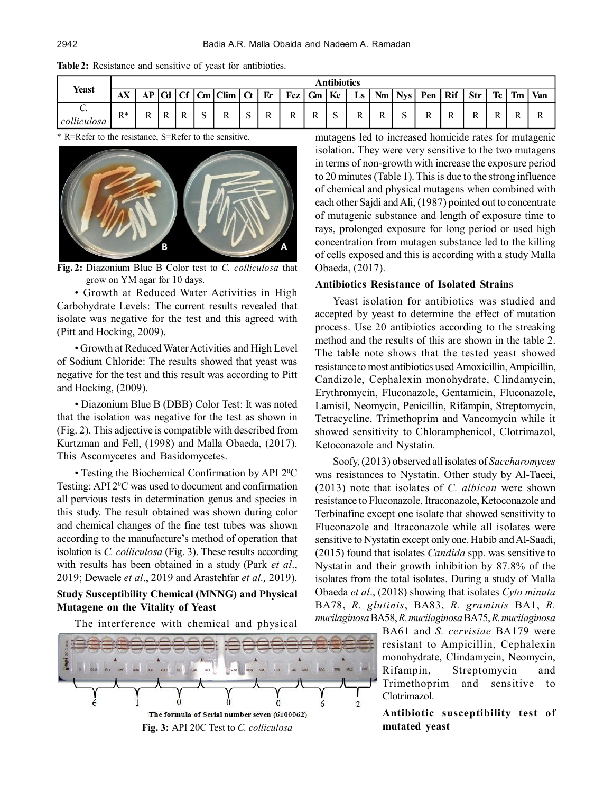|                        |       | <b>Antibiotics</b> |                               |    |    |             |          |    |     |              |    |               |          |        |     |     |            |    |           |     |
|------------------------|-------|--------------------|-------------------------------|----|----|-------------|----------|----|-----|--------------|----|---------------|----------|--------|-----|-----|------------|----|-----------|-----|
| <b>Yeast</b>           | AX    | D                  | $\overline{1}$ $\overline{1}$ | mе | Cm | <b>Clim</b> | $\alpha$ | Er | Fcz | Gm           | Kc | $\triangle$ S | $Nm_{1}$ | Nys    | Pen | Rif | <b>Str</b> | Tc | <b>Tm</b> | Van |
| ⌒<br>J.<br>colliculosa | $R^*$ | D<br>17            | R                             | R  | ∼  |             |          | R  |     | <sup>D</sup> | ◡  |               |          | C<br>∼ | 1 L |     |            | R  |           | ĸ   |

**Table 2:** Resistance and sensitive of yeast for antibiotics.

\* R=Refer to the resistance, S=Refer to the sensitive.



**Fig. 2:** Diazonium Blue B Color test to *C. colliculosa* that grow on YM agar for 10 days.

• Growth at Reduced Water Activities in High Carbohydrate Levels: The current results revealed that isolate was negative for the test and this agreed with (Pitt and Hocking, 2009).

• Growth at Reduced Water Activities and High Level of Sodium Chloride: The results showed that yeast was negative for the test and this result was according to Pitt and Hocking, (2009).

• Diazonium Blue B (DBB) Color Test: It was noted that the isolation was negative for the test as shown in (Fig. 2). This adjective is compatible with described from Kurtzman and Fell, (1998) and Malla Obaeda, (2017). This Ascomycetes and Basidomycetes.

 $\bullet$  Testing the Biochemical Confirmation by API 2<sup>0</sup>C Testing: API  $2^{\circ}$ C was used to document and confirmation all pervious tests in determination genus and species in this study. The result obtained was shown during color and chemical changes of the fine test tubes was shown according to the manufacture's method of operation that isolation is *C. colliculosa* (Fig. 3). These results according with results has been obtained in a study (Park *et al*., 2019; Dewaele *et al*., 2019 and Arastehfar *et al.,* 2019).

# **Study Susceptibility Chemical (MNNG) and Physical Mutagene on the Vitality of Yeast**

The interference with chemical and physical



mutagens led to increased homicide rates for mutagenic isolation. They were very sensitive to the two mutagens in terms of non-growth with increase the exposure period to 20 minutes (Table 1). This is due to the strong influence of chemical and physical mutagens when combined with each other Sajdi and Ali, (1987) pointed out to concentrate of mutagenic substance and length of exposure time to rays, prolonged exposure for long period or used high concentration from mutagen substance led to the killing of cells exposed and this is according with a study Malla Obaeda, (2017).

#### **Antibiotics Resistance of Isolated Strain**s

Yeast isolation for antibiotics was studied and accepted by yeast to determine the effect of mutation process. Use 20 antibiotics according to the streaking method and the results of this are shown in the table 2. The table note shows that the tested yeast showed resistance to most antibiotics used Amoxicillin, Ampicillin, Candizole, Cephalexin monohydrate, Clindamycin, Erythromycin, Fluconazole, Gentamicin, Fluconazole, Lamisil, Neomycin, Penicillin, Rifampin, Streptomycin, Tetracycline, Trimethoprim and Vancomycin while it showed sensitivity to Chloramphenicol, Clotrimazol, Ketoconazole and Nystatin.

Soofy, (2013) observed all isolates of *Saccharomyces* was resistances to Nystatin. Other study by Al-Taeei, (2013) note that isolates of *C. albican* were shown resistance to Fluconazole, Itraconazole, Ketoconazole and Terbinafine except one isolate that showed sensitivity to Fluconazole and Itraconazole while all isolates were sensitive to Nystatin except only one. Habib and Al-Saadi, (2015) found that isolates *Candida* spp. was sensitive to Nystatin and their growth inhibition by 87.8% of the isolates from the total isolates. During a study of Malla Obaeda *et al*., (2018) showing that isolates *Cyto minuta* BA78, *R. glutinis*, BA83, *R. graminis* BA1, *R. mucilaginosa* BA58, *R. mucilaginosa* BA75, *R. mucilaginosa*

> BA61 and *S. cervisiae* BA179 were resistant to Ampicillin, Cephalexin monohydrate, Clindamycin, Neomycin, Rifampin, Streptomycin and Trimethoprim and sensitive to Clotrimazol.

> **Antibiotic susceptibility test of mutated yeast**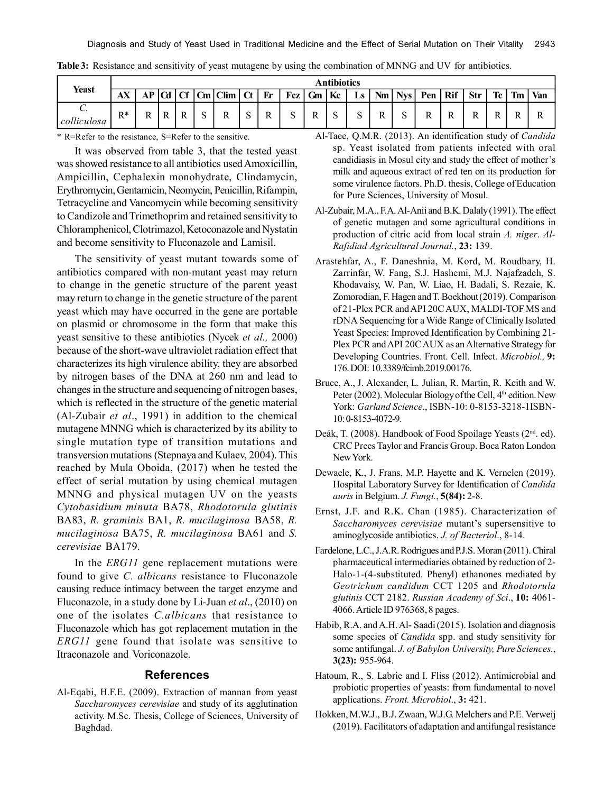|                   |       | <b>Antibiotics</b> |   |    |        |             |          |    |   |            |    |                |  |            |          |         |            |    |    |     |
|-------------------|-------|--------------------|---|----|--------|-------------|----------|----|---|------------|----|----------------|--|------------|----------|---------|------------|----|----|-----|
| <b>Yeast</b>      | AX    |                    |   | Лr | l Cm   | <b>Clim</b> | $\alpha$ | Er |   | $Fcz$   Gm | Kc | $\mathbf{L}$ s |  | $Nm$   Nys | Pen      | .   Rif | <b>Str</b> | Tc | Tm | Van |
| J.<br>colliculosa | $R^*$ | D<br>ĸ             | R | R  | $\sim$ |             |          | л  | ົ | 17         |    | ∽<br>້         |  | $\sim$     | <b>D</b> |         |            | n  |    |     |

**Table 3:** Resistance and sensitivity of yeast mutagene by using the combination of MNNG and UV for antibiotics.

\* R=Refer to the resistance, S=Refer to the sensitive.

It was observed from table 3, that the tested yeast was showed resistance to all antibiotics used Amoxicillin, Ampicillin, Cephalexin monohydrate, Clindamycin, Erythromycin, Gentamicin, Neomycin, Penicillin, Rifampin, Tetracycline and Vancomycin while becoming sensitivity to Candizole and Trimethoprim and retained sensitivity to Chloramphenicol, Clotrimazol, Ketoconazole and Nystatin and become sensitivity to Fluconazole and Lamisil.

The sensitivity of yeast mutant towards some of antibiotics compared with non-mutant yeast may return to change in the genetic structure of the parent yeast may return to change in the genetic structure of the parent yeast which may have occurred in the gene are portable on plasmid or chromosome in the form that make this yeast sensitive to these antibiotics (Nycek *et al.,* 2000) because of the short-wave ultraviolet radiation effect that characterizes its high virulence ability, they are absorbed by nitrogen bases of the DNA at 260 nm and lead to changes in the structure and sequencing of nitrogen bases, which is reflected in the structure of the genetic material (Al-Zubair *et al*., 1991) in addition to the chemical mutagene MNNG which is characterized by its ability to single mutation type of transition mutations and transversion mutations (Stepnaya and Kulaev, 2004). This reached by Mula Oboida, (2017) when he tested the effect of serial mutation by using chemical mutagen MNNG and physical mutagen UV on the yeasts *Cytobasidium minuta* BA78, *Rhodotorula glutinis* BA83, *R. graminis* BA1, *R. mucilaginosa* BA58, *R. mucilaginosa* BA75, *R. mucilaginosa* BA61 and *S. cerevisiae* BA179.

In the *ERG11* gene replacement mutations were found to give *C. albicans* resistance to Fluconazole causing reduce intimacy between the target enzyme and Fluconazole, in a study done by Li-Juan *et al*., (2010) on one of the isolates *C.albicans* that resistance to Fluconazole which has got replacement mutation in the *ERG11* gene found that isolate was sensitive to Itraconazole and Voriconazole.

## **References**

Al-Eqabi, H.F.E. (2009). Extraction of mannan from yeast *Saccharomyces cerevisiae* and study of its agglutination activity. M.Sc. Thesis, College of Sciences, University of Baghdad.

- Al-Taee, Q.M.R. (2013). An identification study of *Candida* sp. Yeast isolated from patients infected with oral candidiasis in Mosul city and study the effect of mother's milk and aqueous extract of red ten on its production for some virulence factors. Ph.D. thesis, College of Education for Pure Sciences, University of Mosul.
- Al-Zubair, M.A., F.A. Al-Anii and B.K. Dalaly (1991). The effect of genetic mutagen and some agricultural conditions in production of citric acid from local strain *A. niger*. *Al-Rafidiad Agricultural Journal.*, **23:** 139.
- Arastehfar, A., F. Daneshnia, M. Kord, M. Roudbary, H. Zarrinfar, W. Fang, S.J. Hashemi, M.J. Najafzadeh, S. Khodavaisy, W. Pan, W. Liao, H. Badali, S. Rezaie, K. Zomorodian, F. Hagen and T. Boekhout (2019). Comparison of 21-Plex PCR and API 20C AUX, MALDI-TOF MS and rDNA Sequencing for a Wide Range of Clinically Isolated Yeast Species: Improved Identification by Combining 21- Plex PCR and API 20C AUX as an Alternative Strategy for Developing Countries. Front. Cell. Infect. *Microbiol.,* **9:** 176. DOI: 10.3389/fcimb.2019.00176.
- Bruce, A., J. Alexander, L. Julian, R. Martin, R. Keith and W. Peter (2002). Molecular Biology of the Cell, 4<sup>th</sup> edition. New York: *Garland Science*., ISBN-10: 0-8153-3218-1ISBN-10: 0-8153-4072-9.
- Deák, T. (2008). Handbook of Food Spoilage Yeasts (2<sup>nd</sup>. ed). CRC Prees Taylor and Francis Group. Boca Raton London New York.
- Dewaele, K., J. Frans, M.P. Hayette and K. Vernelen (2019). Hospital Laboratory Survey for Identification of *Candida auris* in Belgium. *J. Fungi.*, **5(84):** 2-8.
- Ernst, J.F. and R.K. Chan (1985). Characterization of *Saccharomyces cerevisiae* mutant's supersensitive to aminoglycoside antibiotics. *J. of Bacteriol*., 8-14.
- Fardelone, L.C., J.A.R. Rodrigues and P.J.S. Moran (2011). Chiral pharmaceutical intermediaries obtained by reduction of 2- Halo-1-(4-substituted. Phenyl) ethanones mediated by *Geotrichum candidum* CCT 1205 and *Rhodotorula glutinis* CCT 2182. *Russian Academy of Sci*., **10:** 4061- 4066. Article ID 976368, 8 pages.
- Habib, R.A. and A.H. Al- Saadi (2015). Isolation and diagnosis some species of *Candida* spp. and study sensitivity for some antifungal. *J. of Babylon University, Pure Sciences.*, **3(23):** 955-964.
- Hatoum, R., S. Labrie and I. Fliss (2012). Antimicrobial and probiotic properties of yeasts: from fundamental to novel applications. *Front. Microbiol*., **3:** 421.
- Hokken, M.W.J., B.J. Zwaan, W.J.G. Melchers and P.E. Verweij (2019). Facilitators of adaptation and antifungal resistance